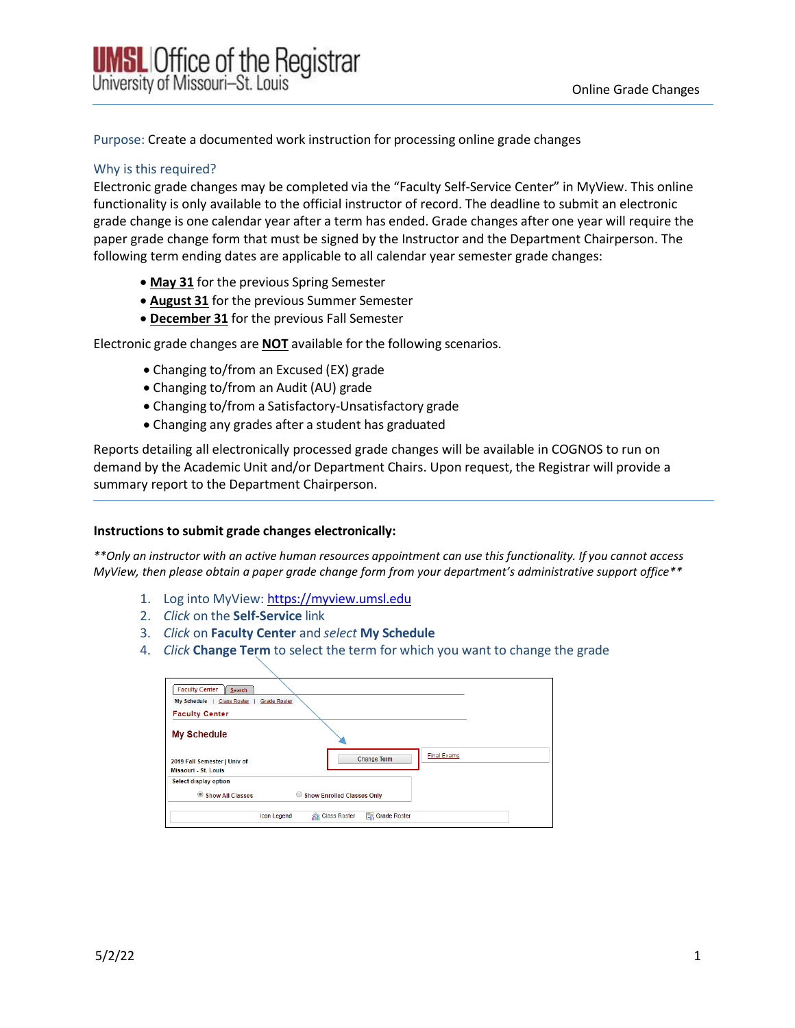Purpose: Create a documented work instruction for processing online grade changes

### Why is this required?

Electronic grade changes may be completed via the "Faculty Self-Service Center" in MyView. This online functionality is only available to the official instructor of record. The deadline to submit an electronic grade change is one calendar year after a term has ended. Grade changes after one year will require the paper grade change form that must be signed by the Instructor and the Department Chairperson. The following term ending dates are applicable to all calendar year semester grade changes:

- **May 31** for the previous Spring Semester
- **August 31** for the previous Summer Semester
- **December 31** for the previous Fall Semester

Electronic grade changes are **NOT** available for the following scenarios.

- Changing to/from an Excused (EX) grade
- Changing to/from an Audit (AU) grade
- Changing to/from a Satisfactory-Unsatisfactory grade
- Changing any grades after a student has graduated

Reports detailing all electronically processed grade changes will be available in COGNOS to run on demand by the Academic Unit and/or Department Chairs. Upon request, the Registrar will provide a summary report to the Department Chairperson.

#### **Instructions to submit grade changes electronically:**

\*\* Only an instructor with an active human resources appointment can use this functionality. If you cannot access *MyView, then please obtain a paper grade change form from your department's administrative support office\*\**

- 1. Log into MyView: [https://myview.umsl.edu](https://myview.umsl.edu/)
- 2. *Click* on the **Self-Service** link
- 3. *Click* on **Faculty Center** and *select* **My Schedule**
- 4. *Click* **Change Term** to select the term for which you want to change the grade

| <b>Faculty Center</b><br>Search                                                                  |  |
|--------------------------------------------------------------------------------------------------|--|
| <b>Class Roster</b><br><b>Grade Roster</b><br><b>My Schedule</b>                                 |  |
| <b>Faculty Center</b>                                                                            |  |
| <b>My Schedule</b>                                                                               |  |
| <b>Final Exams</b><br><b>Change Term</b><br>2019 Fall Semester   Univ of<br>Missouri - St. Louis |  |
| Select display option                                                                            |  |
| Show All Classes<br><b>Show Enrolled Classes Only</b><br>$\circ$                                 |  |
| Grade Roster<br><b>RR</b> Class Roster<br><b>Icon Legend</b>                                     |  |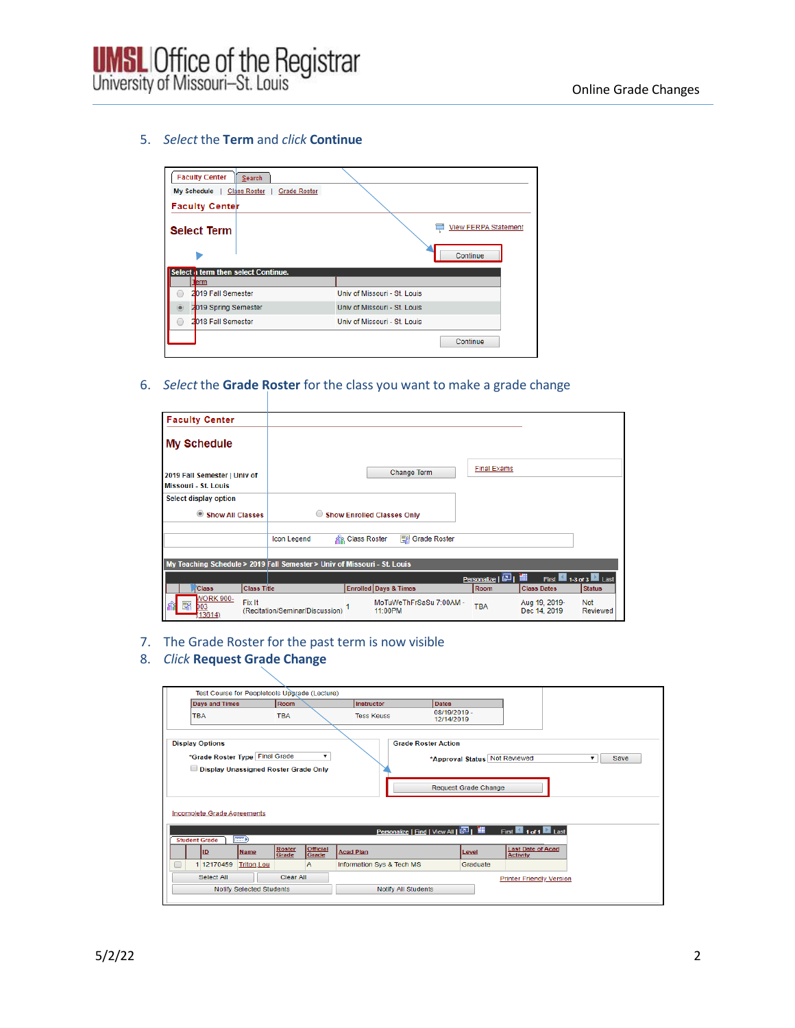

## 5. *Select* the **Term** and *click* **Continue**

| <b>Faculty Center</b><br>Search                           |                              |
|-----------------------------------------------------------|------------------------------|
| <b>Grade Roster</b><br><b>My Schedule</b><br>Class Roster |                              |
| <b>Faculty Center</b>                                     |                              |
| <b>Select Term</b>                                        | <b>View FERPA Statement</b>  |
|                                                           | Continue                     |
| Select a term then select Continue.                       |                              |
| erm                                                       |                              |
| 2019 Fall Semester                                        | Univ of Missouri - St. Louis |
| 2019 Spring Semester<br>$\circledcirc$                    | Univ of Missouri - St. Louis |
| 2018 Fall Semester                                        | Univ of Missouri - St. Louis |
|                                                           | Continue                     |

6. *Select* the **Grade Roster** for the class you want to make a grade change

| <b>Faculty Center</b>                                |                    |                                                                          |                          |                                    |                    |                               |                      |
|------------------------------------------------------|--------------------|--------------------------------------------------------------------------|--------------------------|------------------------------------|--------------------|-------------------------------|----------------------|
| <b>My Schedule</b>                                   |                    |                                                                          |                          |                                    |                    |                               |                      |
| 2019 Fall Semester   Univ of<br>Missouri - St. Louis |                    |                                                                          |                          | Change Term                        | <b>Final Exams</b> |                               |                      |
| Select display option                                |                    |                                                                          |                          |                                    |                    |                               |                      |
| $^{\circ}$<br><b>Show All Classes</b>                |                    | $\circ$                                                                  |                          | <b>Show Enrolled Classes Only</b>  |                    |                               |                      |
|                                                      |                    | <b>Icon Legend</b>                                                       | <b>SI's Class Roster</b> | Grade Roster                       |                    |                               |                      |
|                                                      |                    |                                                                          |                          |                                    |                    |                               |                      |
|                                                      |                    | My Teaching Schedule > 2019 Fall Semester > Univ of Missouri - St. Louis |                          |                                    |                    |                               |                      |
|                                                      |                    |                                                                          |                          |                                    | Personalize   2    | 讍                             | First 43 of 3 2 Last |
| <b>Class</b>                                         | <b>Class Title</b> |                                                                          |                          | <b>Enrolled Days &amp; Times</b>   | Room               | <b>Class Dates</b>            | <b>Status</b>        |
| <b>VORK 900-</b><br>郾<br>D <sub>03</sub><br>3614     | Fix It             | (Recitation/Seminar/Discussion)                                          |                          | MoTuWeThFrSaSu 7:00AM -<br>11:00PM | <b>TBA</b>         | Aug 19, 2019-<br>Dec 14, 2019 | Not<br>Reviewed      |

- 7. The Grade Roster for the past term is now visible
- 8. *Click* **Request Grade Change**

|                        | Test Course for Peopletools Upgrade (Lecture)                                                         |                                             |                            |                                                                                                    |
|------------------------|-------------------------------------------------------------------------------------------------------|---------------------------------------------|----------------------------|----------------------------------------------------------------------------------------------------|
|                        | <b>Days and Times</b>                                                                                 | Room                                        | Instructor                 | <b>Dates</b>                                                                                       |
| <b>TBA</b>             |                                                                                                       | <b>TBA</b>                                  | <b>Tess Keuss</b>          | 08/19/2019 -<br>12/14/2019                                                                         |
| <b>Display Options</b> | *Grade Roster Type Final Grade<br>Display Unassigned Roster Grade Only<br>Incomplete Grade Agreements | ▼                                           | <b>Grade Roster Action</b> | *Approval Status Not Reviewed<br>Save<br>۰.<br><b>Request Grade Change</b>                         |
|                        |                                                                                                       |                                             |                            | Personalize   Find   View All   <b>Papillar</b><br>First $\blacksquare$ 1 of 1 $\blacksquare$ Last |
| <b>Student Grade</b>   | <b>Exp</b>                                                                                            |                                             |                            |                                                                                                    |
| ID                     | <b>Name</b>                                                                                           | Official<br>Grade<br><b>Roster</b><br>Grade | <b>Acad Plan</b>           | <b>Last Date of Acad</b><br>Level<br><b>Activity</b>                                               |
| O                      | 1 12170459<br><b>Triton, Lou</b>                                                                      | A                                           | Information Sys & Tech MS  | Graduate                                                                                           |
|                        | Select All                                                                                            | <b>Clear All</b>                            |                            | <b>Printer Friendly Version</b>                                                                    |
|                        | <b>Notify Selected Students</b>                                                                       |                                             | <b>Notify All Students</b> |                                                                                                    |
|                        |                                                                                                       |                                             |                            |                                                                                                    |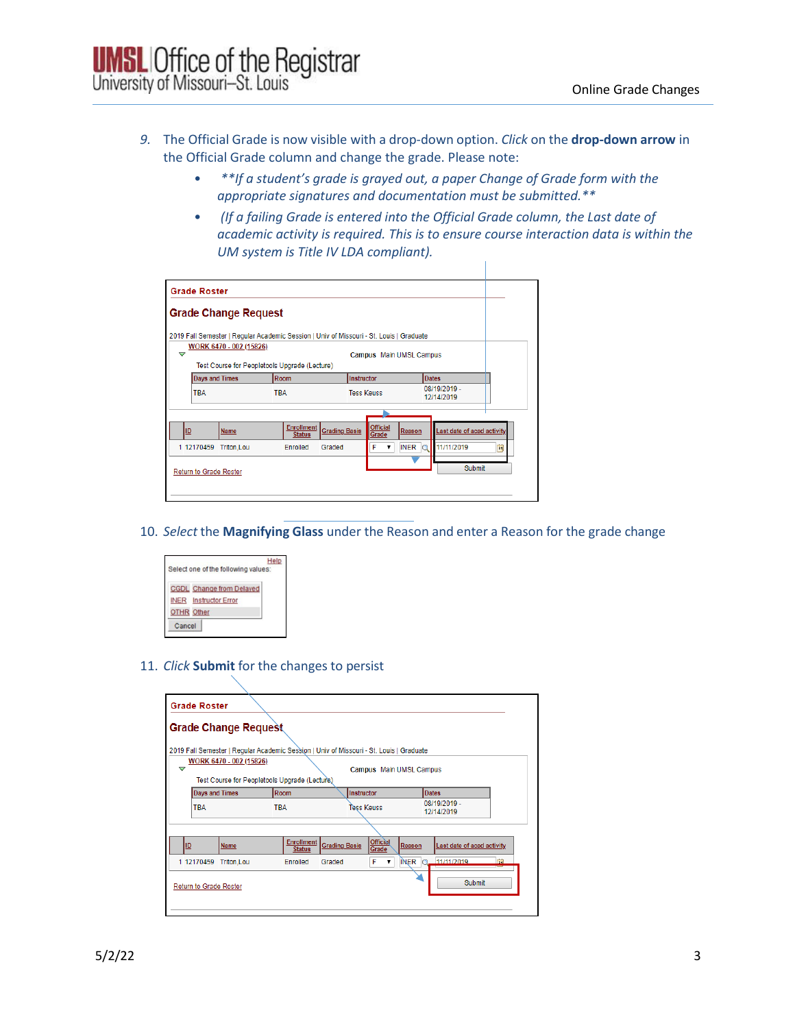- *9.* The Official Grade is now visible with a drop-down option. *Click* on the **drop-down arrow** in the Official Grade column and change the grade. Please note:
	- *\*\*If a student's grade is grayed out, a paper Change of Grade form with the appropriate signatures and documentation must be submitted.\*\**
	- *(If a failing Grade is entered into the Official Grade column, the Last date of academic activity is required. This is to ensure course interaction data is within the UM system is Title IV LDA compliant).*

|   |                        | <b>Grade Change Request</b>                                                             |                                    |                      |                   |                          |        |                            |   |
|---|------------------------|-----------------------------------------------------------------------------------------|------------------------------------|----------------------|-------------------|--------------------------|--------|----------------------------|---|
|   |                        | 2019 Fall Semester   Regular Academic Session   Univ of Missouri - St. Louis   Graduate |                                    |                      |                   |                          |        |                            |   |
| ▽ |                        | WORK 6470 - 002 (15826)<br>Test Course for Peopletools Upgrade (Lecture)                |                                    |                      |                   | Campus Main UMSL Campus  |        |                            |   |
|   | <b>Days and Times</b>  |                                                                                         | Room                               |                      | Instructor        |                          |        | <b>Dates</b>               |   |
|   | <b>TBA</b>             |                                                                                         | <b>TBA</b>                         |                      | <b>Tess Keuss</b> |                          |        | 08/19/2019 -<br>12/14/2019 |   |
|   |                        |                                                                                         |                                    |                      |                   |                          |        |                            |   |
|   | ID                     | Name                                                                                    | <b>Enrollment</b><br><b>Status</b> | <b>Grading Basis</b> |                   | <b>Official</b><br>Grade | Reason | Last date of acad activity |   |
|   |                        | 1 12170459 Triton.Lou                                                                   | Enrolled                           | Graded               |                   | F                        | INER O | 11/11/2019                 | Ħ |
|   | Return to Grade Roster |                                                                                         |                                    |                      |                   |                          |        | <b>Submit</b>              |   |

10. *Select* the **Magnifying Glass** under the Reason and enter a Reason for the grade change



11. *Click* **Submit** for the changes to persist

|                       |                        | <b>Grade Change Request</b>                                                             |                                    |                      |  |                          |                            |                            |
|-----------------------|------------------------|-----------------------------------------------------------------------------------------|------------------------------------|----------------------|--|--------------------------|----------------------------|----------------------------|
|                       |                        | 2019 Fall Semester   Regular Academic Session   Univ of Missouri - St. Louis   Graduate |                                    |                      |  |                          |                            |                            |
| ▽                     |                        | WORK 6470 - 002 (15826)<br>Test Course for Peopletools Upgrade (Lecture)                |                                    |                      |  |                          | Campus Main UMSL Campus    |                            |
| <b>Days and Times</b> |                        |                                                                                         | Room                               | Instructor           |  |                          | <b>Dates</b>               |                            |
| <b>TBA</b>            |                        | <b>TBA</b>                                                                              |                                    | Tess Keuss           |  |                          | 08/19/2019 -<br>12/14/2019 |                            |
|                       |                        |                                                                                         |                                    |                      |  |                          |                            |                            |
|                       | ID                     | Name                                                                                    | <b>Enrollment</b><br><b>Status</b> | <b>Grading Basis</b> |  | <b>Official</b><br>Grade | Reason                     | Last date of acad activity |
|                       | 1 12170459             | <b>Triton, Lou</b>                                                                      | Enrolled                           | Graded               |  | F<br>7                   | INER Q                     | 11/11/2019<br>間            |
|                       | Return to Grade Roster |                                                                                         |                                    |                      |  |                          |                            | <b>Submit</b>              |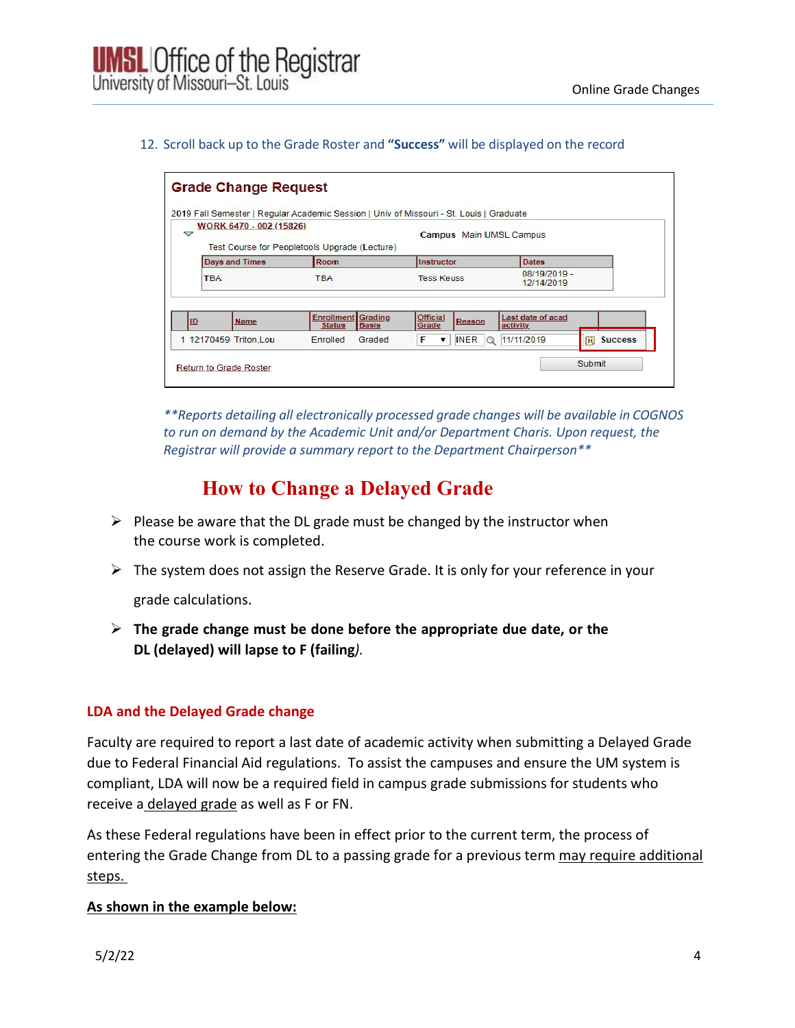### 12. Scroll back up to the Grade Roster and **"Success"** will be displayed on the record

| $\triangledown$ | WORK 6470 - 002 (15826)<br>Test Course for Peopletools Upgrade (Lecture) |                                    |                         |                          |                        | Campus Main UMSL Campus       |              |                |  |
|-----------------|--------------------------------------------------------------------------|------------------------------------|-------------------------|--------------------------|------------------------|-------------------------------|--------------|----------------|--|
|                 | <b>Days and Times</b>                                                    | <b>Room</b>                        |                         | Instructor               |                        | <b>Dates</b>                  |              |                |  |
| <b>TBA</b>      |                                                                          | <b>TBA</b>                         |                         | <b>Tess Keuss</b>        |                        | 12/14/2019                    | 08/19/2019 - |                |  |
| ID              | <b>Name</b>                                                              | <b>Enrollment</b><br><b>Status</b> | Grading<br><b>Basis</b> | <b>Official</b><br>Grade | Reason                 | Last date of acad<br>activity |              |                |  |
|                 | 1 12170459 Triton, Lou                                                   | Enrolled                           | Graded                  | F<br>▼                   | <b>INER</b><br>$\circ$ | 11/11/2019                    | 向            | <b>Success</b> |  |

*\*\*Reports detailing all electronically processed grade changes will be available in COGNOS to run on demand by the Academic Unit and/or Department Charis. Upon request, the Registrar will provide a summary report to the Department Chairperson\*\**

# **How to Change a Delayed Grade**

- $\triangleright$  Please be aware that the DL grade must be changed by the instructor when the course work is completed.
- $\triangleright$  The system does not assign the Reserve Grade. It is only for your reference in your

grade calculations.

 **The grade change must be done before the appropriate due date, or the DL (delayed) will lapse to F (failing***).* 

## **LDA and the Delayed Grade change**

Faculty are required to report a last date of academic activity when submitting a Delayed Grade due to Federal Financial Aid regulations. To assist the campuses and ensure the UM system is compliant, LDA will now be a required field in campus grade submissions for students who receive a delayed grade as well as F or FN.

As these Federal regulations have been in effect prior to the current term, the process of entering the Grade Change from DL to a passing grade for a previous term may require additional steps.

## **As shown in the example below:**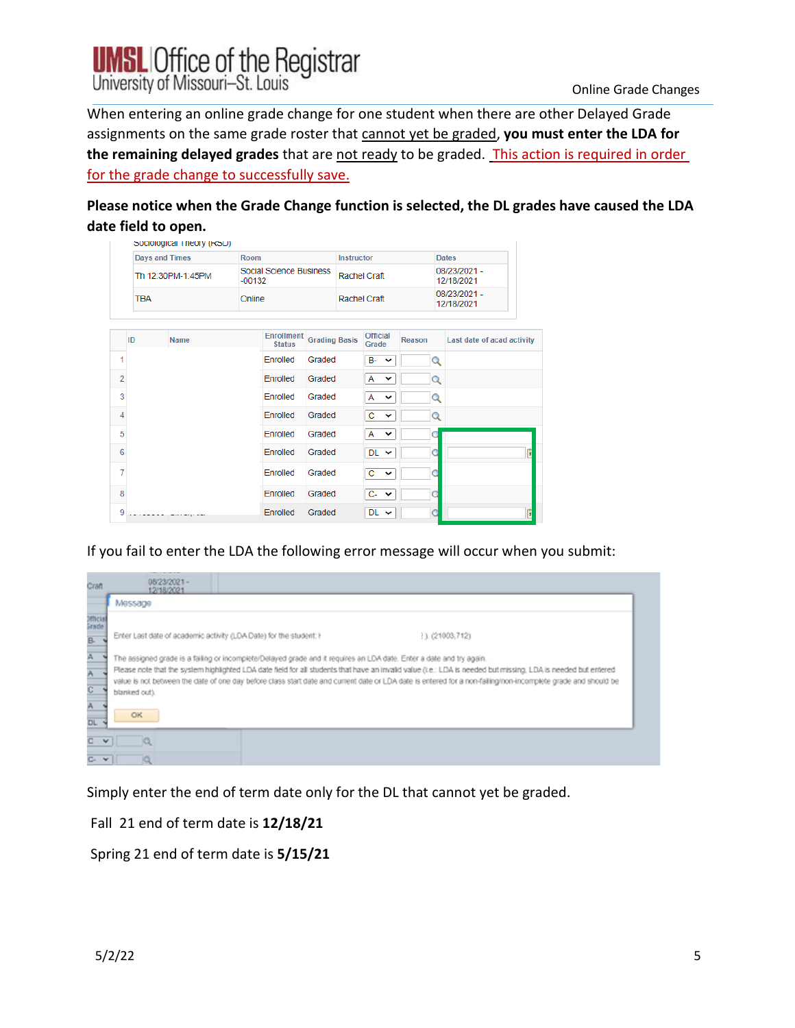

When entering an online grade change for one student when there are other Delayed Grade assignments on the same grade roster that cannot yet be graded, **you must enter the LDA for the remaining delayed grades** that are not ready to be graded. This action is required in order for the grade change to successfully save.

**Please notice when the Grade Change function is selected, the DL grades have caused the LDA date field to open.**

|                |                                 | Sociological Triedry (RSD) |          |                         |                      |            |                   |                            |                            |                         |
|----------------|---------------------------------|----------------------------|----------|-------------------------|----------------------|------------|-------------------|----------------------------|----------------------------|-------------------------|
|                | <b>Days and Times</b>           |                            | Room     |                         |                      | Instructor |                   |                            | <b>Dates</b>               |                         |
|                | Th 12:30PM-1:45PM<br><b>TBA</b> |                            | $-00132$ | Social Science Business | Rachel Craft         |            |                   | 08/23/2021 -<br>12/18/2021 |                            |                         |
|                |                                 |                            | Online   |                         | Rachel Craft         |            |                   | 08/23/2021 -<br>12/18/2021 |                            |                         |
|                |                                 |                            |          | <b>Enrollment</b>       |                      |            | <b>Official</b>   |                            |                            |                         |
|                | ID                              | <b>Name</b>                |          | <b>Status</b>           | <b>Grading Basis</b> |            | Grade             | Reason                     | Last date of acad activity |                         |
| 1              |                                 |                            |          | Enrolled                | Graded               |            | $B - \vee$        | Q                          |                            |                         |
| $\overline{2}$ |                                 |                            |          | Enrolled                | Graded               |            | A<br>$\check{~}$  | $\alpha$                   |                            |                         |
| 3              |                                 |                            |          | Enrolled                | Graded               |            | A<br>$\checkmark$ | Q                          |                            |                         |
| $\overline{4}$ |                                 |                            |          | Enrolled                | Graded               |            | C<br>$\checkmark$ | Q                          |                            |                         |
| 5              |                                 |                            |          | Enrolled                | Graded               |            | A<br>$\checkmark$ |                            |                            |                         |
| 6              |                                 |                            |          | Enrolled                | Graded               |            | $DL \sim$         | C                          |                            | 3                       |
| 7              |                                 |                            |          | Enrolled                | Graded               |            | $c \sim$          |                            |                            |                         |
| 8              |                                 |                            |          | Enrolled                | Graded               |            | $C - \vee$        | C                          |                            |                         |
| 9              |                                 |                            |          | Enrolled                | Graded               |            | $DL \sim$         |                            |                            | $\overline{\mathbf{3}}$ |

If you fail to enter the LDA the following error message will occur when you submit:

| Craft                    | 08/23/2021 -<br>12/18/2021                                                                                                                                                     |  |  |  |  |  |  |
|--------------------------|--------------------------------------------------------------------------------------------------------------------------------------------------------------------------------|--|--|--|--|--|--|
|                          | Message                                                                                                                                                                        |  |  |  |  |  |  |
| <b>Demicial</b><br>Grade |                                                                                                                                                                                |  |  |  |  |  |  |
| <b>B-</b>                | Enter Last date of academic activity (LDA Date) for the student: I<br>11 (21003.712)                                                                                           |  |  |  |  |  |  |
|                          | The assigned grade is a failing or incomplete/Delayed grade and it requires an LDA date. Enter a date and try again.                                                           |  |  |  |  |  |  |
| Α                        | Please note that the system highlighted LDA date field for all students that have an invalid value (i.e.: LDA is needed but missing, LDA is needed but entered                 |  |  |  |  |  |  |
| ¢                        | value is not between the date of one day before class start date and current date or LDA date is entered for a non-failing/non-incomplete grade and should be<br>blanked out). |  |  |  |  |  |  |
| <b>DL</b>                | OK                                                                                                                                                                             |  |  |  |  |  |  |
| $\checkmark$             |                                                                                                                                                                                |  |  |  |  |  |  |
| $C - V$                  | α                                                                                                                                                                              |  |  |  |  |  |  |

Simply enter the end of term date only for the DL that cannot yet be graded.

Fall 21 end of term date is **12/18/21**

Spring 21 end of term date is **5/15/21**